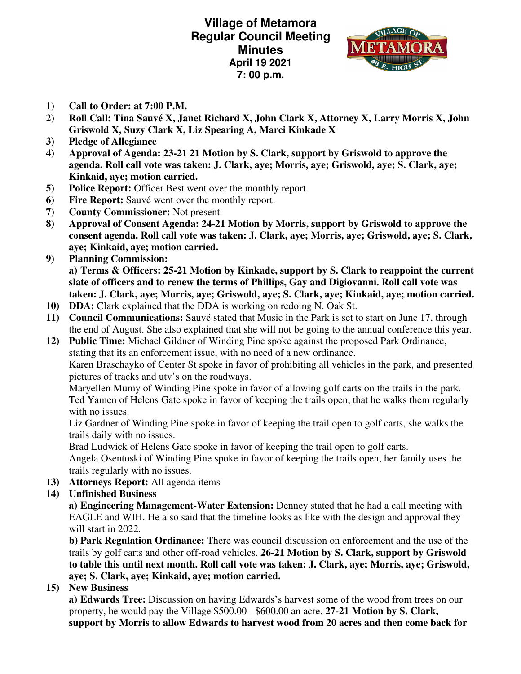**Village of Metamora Regular Council Meeting Minutes April 19 2021 7: 00 p.m.** 



- **1) Call to Order: at 7:00 P.M.**
- **2) Roll Call: Tina Sauvé X, Janet Richard X, John Clark X, Attorney X, Larry Morris X, John Griswold X, Suzy Clark X, Liz Spearing A, Marci Kinkade X**
- **3) Pledge of Allegiance**
- **4) Approval of Agenda: 23-21 21 Motion by S. Clark, support by Griswold to approve the agenda. Roll call vote was taken: J. Clark, aye; Morris, aye; Griswold, aye; S. Clark, aye; Kinkaid, aye; motion carried.**
- **5) Police Report:** Officer Best went over the monthly report.
- **6) Fire Report:** Sauvé went over the monthly report.
- **7) County Commissioner:** Not present
- **8) Approval of Consent Agenda: 24-21 Motion by Morris, support by Griswold to approve the consent agenda. Roll call vote was taken: J. Clark, aye; Morris, aye; Griswold, aye; S. Clark, aye; Kinkaid, aye; motion carried.**
- **9) Planning Commission: a) Terms & Officers: 25-21 Motion by Kinkade, support by S. Clark to reappoint the current slate of officers and to renew the terms of Phillips, Gay and Digiovanni. Roll call vote was taken: J. Clark, aye; Morris, aye; Griswold, aye; S. Clark, aye; Kinkaid, aye; motion carried.**
- **10) DDA:** Clark explained that the DDA is working on redoing N. Oak St.
- **11) Council Communications:** Sauvé stated that Music in the Park is set to start on June 17, through the end of August. She also explained that she will not be going to the annual conference this year.
- **12) Public Time:** Michael Gildner of Winding Pine spoke against the proposed Park Ordinance, stating that its an enforcement issue, with no need of a new ordinance. Karen Braschayko of Center St spoke in favor of prohibiting all vehicles in the park, and presented pictures of tracks and utv's on the roadways.

Maryellen Mumy of Winding Pine spoke in favor of allowing golf carts on the trails in the park. Ted Yamen of Helens Gate spoke in favor of keeping the trails open, that he walks them regularly with no issues.

Liz Gardner of Winding Pine spoke in favor of keeping the trail open to golf carts, she walks the trails daily with no issues.

Brad Ludwick of Helens Gate spoke in favor of keeping the trail open to golf carts.

Angela Osentoski of Winding Pine spoke in favor of keeping the trails open, her family uses the trails regularly with no issues.

**13) Attorneys Report:** All agenda items

## **14) Unfinished Business**

**a) Engineering Management-Water Extension:** Denney stated that he had a call meeting with EAGLE and WIH. He also said that the timeline looks as like with the design and approval they will start in 2022.

**b) Park Regulation Ordinance:** There was council discussion on enforcement and the use of the trails by golf carts and other off-road vehicles. **26-21 Motion by S. Clark, support by Griswold to table this until next month. Roll call vote was taken: J. Clark, aye; Morris, aye; Griswold, aye; S. Clark, aye; Kinkaid, aye; motion carried.** 

**15) New Business** 

**a) Edwards Tree:** Discussion on having Edwards's harvest some of the wood from trees on our property, he would pay the Village \$500.00 - \$600.00 an acre. **27-21 Motion by S. Clark, support by Morris to allow Edwards to harvest wood from 20 acres and then come back for**